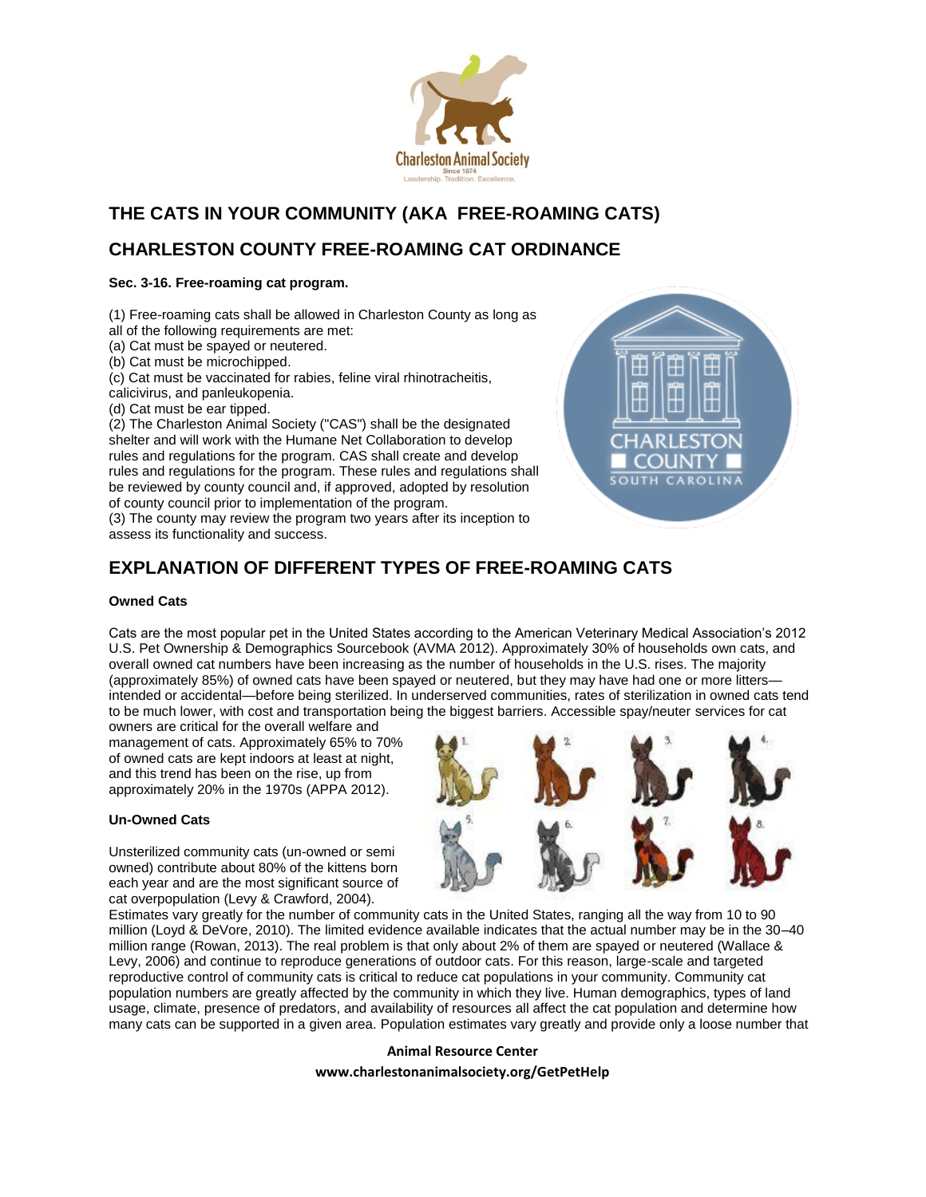

# **THE CATS IN YOUR COMMUNITY (AKA FREE-ROAMING CATS)**

# **CHARLESTON COUNTY FREE-ROAMING CAT ORDINANCE**

## **Sec. 3-16. Free-roaming cat program.**

(1) Free-roaming cats shall be allowed in Charleston County as long as all of the following requirements are met:

(a) Cat must be spayed or neutered.

(b) Cat must be microchipped.

(c) Cat must be vaccinated for rabies, feline viral rhinotracheitis,

calicivirus, and panleukopenia.

(d) Cat must be ear tipped.

(2) The Charleston Animal Society ("CAS") shall be the designated shelter and will work with the Humane Net Collaboration to develop rules and regulations for the program. CAS shall create and develop rules and regulations for the program. These rules and regulations shall be reviewed by county council and, if approved, adopted by resolution of county council prior to implementation of the program.

(3) The county may review the program two years after its inception to assess its functionality and success.



# **EXPLANATION OF DIFFERENT TYPES OF FREE-ROAMING CATS**

## **Owned Cats**

Cats are the most popular pet in the United States according to the American Veterinary Medical Association's 2012 U.S. Pet Ownership & Demographics Sourcebook (AVMA 2012). Approximately 30% of households own cats, and overall owned cat numbers have been increasing as the number of households in the U.S. rises. The majority (approximately 85%) of owned cats have been spayed or neutered, but they may have had one or more litters intended or accidental—before being sterilized. In underserved communities, rates of sterilization in owned cats tend to be much lower, with cost and transportation being the biggest barriers. Accessible spay/neuter services for cat

owners are critical for the overall welfare and management of cats. Approximately 65% to 70% of owned cats are kept indoors at least at night, and this trend has been on the rise, up from approximately 20% in the 1970s (APPA 2012).

## **Un-Owned Cats**

Unsterilized community cats (un-owned or semi owned) contribute about 80% of the kittens born each year and are the most significant source of cat overpopulation (Levy & Crawford, 2004).



Estimates vary greatly for the number of community cats in the United States, ranging all the way from 10 to 90 million (Loyd & DeVore, 2010). The limited evidence available indicates that the actual number may be in the 30–40 million range (Rowan, 2013). The real problem is that only about 2% of them are spayed or neutered (Wallace & Levy, 2006) and continue to reproduce generations of outdoor cats. For this reason, large-scale and targeted reproductive control of community cats is critical to reduce cat populations in your community. Community cat population numbers are greatly affected by the community in which they live. Human demographics, types of land usage, climate, presence of predators, and availability of resources all affect the cat population and determine how many cats can be supported in a given area. Population estimates vary greatly and provide only a loose number that

## **Animal Resource Center**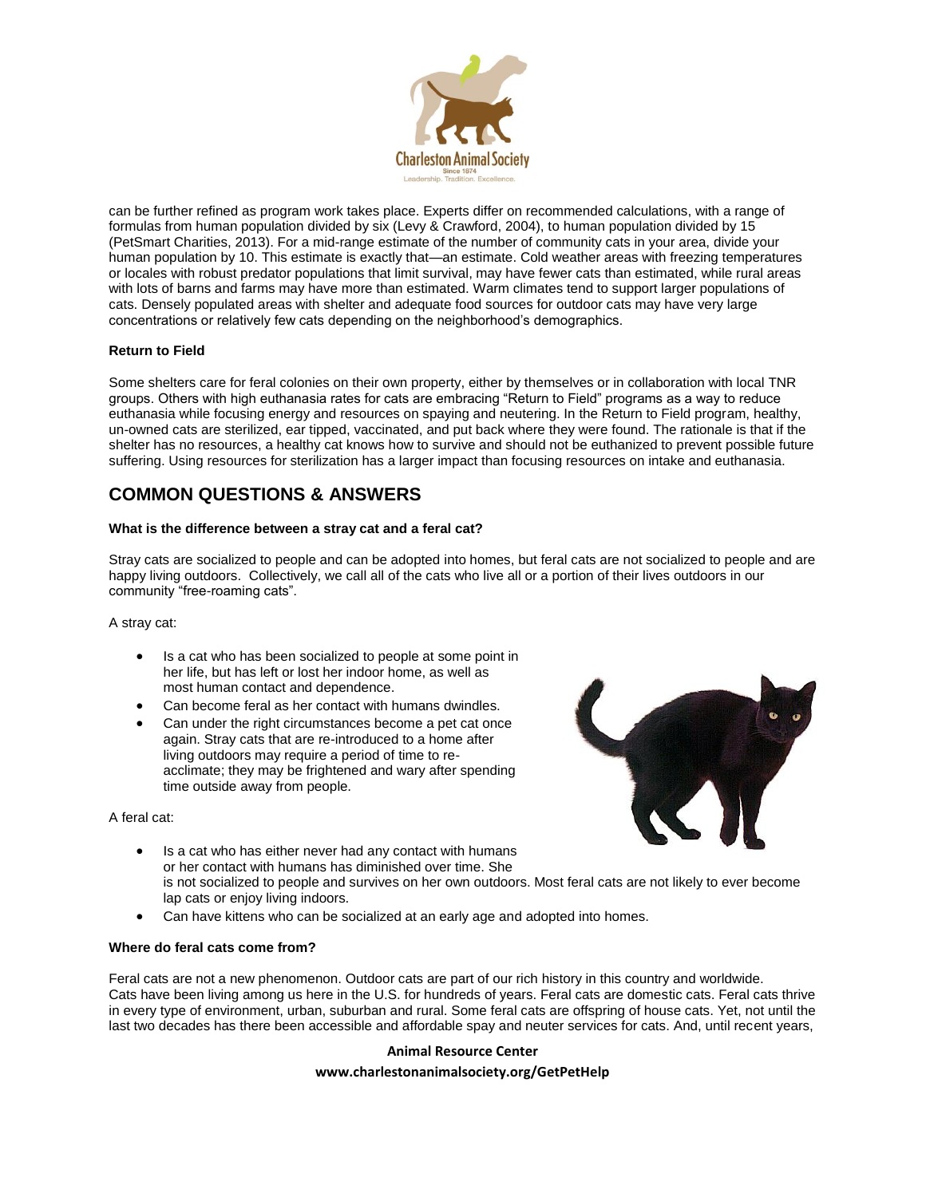

can be further refined as program work takes place. Experts differ on recommended calculations, with a range of formulas from human population divided by six (Levy & Crawford, 2004), to human population divided by 15 (PetSmart Charities, 2013). For a mid-range estimate of the number of community cats in your area, divide your human population by 10. This estimate is exactly that—an estimate. Cold weather areas with freezing temperatures or locales with robust predator populations that limit survival, may have fewer cats than estimated, while rural areas with lots of barns and farms may have more than estimated. Warm climates tend to support larger populations of cats. Densely populated areas with shelter and adequate food sources for outdoor cats may have very large concentrations or relatively few cats depending on the neighborhood's demographics.

### **Return to Field**

Some shelters care for feral colonies on their own property, either by themselves or in collaboration with local TNR groups. Others with high euthanasia rates for cats are embracing "Return to Field" programs as a way to reduce euthanasia while focusing energy and resources on spaying and neutering. In the Return to Field program, healthy, un-owned cats are sterilized, ear tipped, vaccinated, and put back where they were found. The rationale is that if the shelter has no resources, a healthy cat knows how to survive and should not be euthanized to prevent possible future suffering. Using resources for sterilization has a larger impact than focusing resources on intake and euthanasia.

## **COMMON QUESTIONS & ANSWERS**

### **What is the difference between a stray cat and a feral cat?**

Stray cats are socialized to people and can be adopted into homes, but feral cats are not socialized to people and are happy living outdoors. Collectively, we call all of the cats who live all or a portion of their lives outdoors in our community "free-roaming cats".

A stray cat:

- Is a cat who has been socialized to people at some point in her life, but has left or lost her indoor home, as well as most human contact and dependence.
- Can become feral as her contact with humans dwindles.
- Can under the right circumstances become a pet cat once again. Stray cats that are re-introduced to a home after living outdoors may require a period of time to reacclimate; they may be frightened and wary after spending time outside away from people.

A feral cat:



- Is a cat who has either never had any contact with humans or her contact with humans has diminished over time. She is not socialized to people and survives on her own outdoors. Most feral cats are not likely to ever become lap cats or enjoy living indoors.
- Can have kittens who can be socialized at an early age and adopted into homes.

#### **Where do feral cats come from?**

Feral cats are not a new phenomenon. Outdoor cats are part of our rich history in this country and worldwide. Cats have been living among us here in the U.S. for hundreds of years. Feral cats are domestic cats. Feral cats thrive in every type of environment, urban, suburban and rural. Some feral cats are offspring of house cats. Yet, not until the last two decades has there been accessible and affordable spay and neuter services for cats. And, until recent years,

### **Animal Resource Center**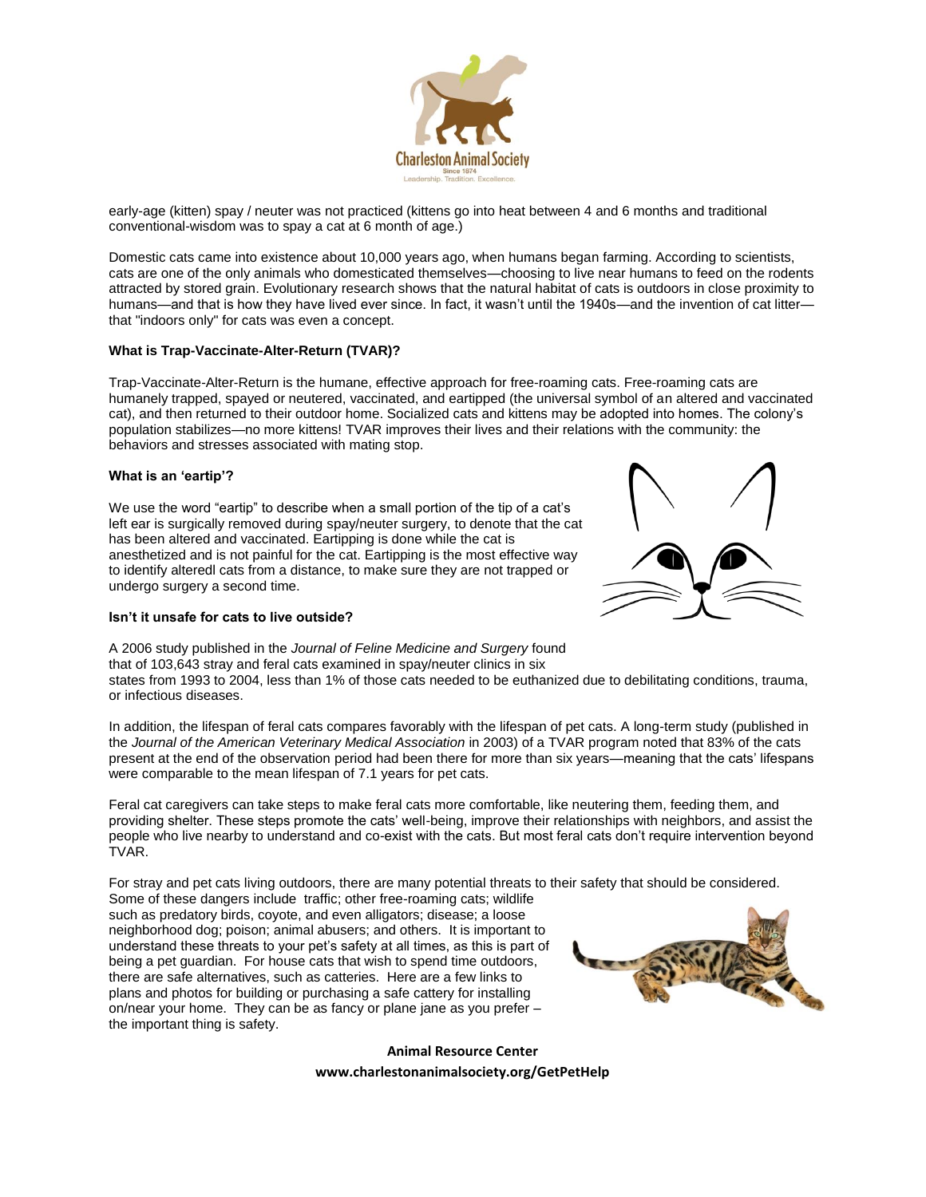

early-age (kitten) spay / neuter was not practiced (kittens go into heat between 4 and 6 months and traditional conventional-wisdom was to spay a cat at 6 month of age.)

Domestic cats came into existence about 10,000 years ago, when humans began farming. According to scientists, cats are one of the only animals who domesticated themselves—choosing to live near humans to feed on the rodents attracted by stored grain. Evolutionary research shows that the natural habitat of cats is outdoors in close proximity to humans—and that is how they have lived ever since. In fact, it wasn't until the 1940s—and the invention of cat litter that "indoors only" for cats was even a concept.

#### **What is Trap-Vaccinate-Alter-Return (TVAR)?**

Trap-Vaccinate-Alter-Return is the humane, effective approach for free-roaming cats. Free-roaming cats are humanely trapped, spayed or neutered, vaccinated, and eartipped (the universal symbol of an altered and vaccinated cat), and then returned to their outdoor home. Socialized cats and kittens may be adopted into homes. The colony's population stabilizes—no more kittens! TVAR improves their lives and their relations with the community: the behaviors and stresses associated with mating stop.

#### **What is an 'eartip'?**

We use the word "eartip" to describe when a small portion of the tip of a cat's left ear is surgically removed during spay/neuter surgery, to denote that the cat has been altered and vaccinated. Eartipping is done while the cat is anesthetized and is not painful for the cat. Eartipping is the most effective way to identify alteredl cats from a distance, to make sure they are not trapped or undergo surgery a second time.



#### **Isn't it unsafe for cats to live outside?**

A 2006 study published in the *Journal of Feline Medicine and Surgery* found that of 103,643 stray and feral cats examined in spay/neuter clinics in six states from 1993 to 2004, less than 1% of those cats needed to be euthanized due to debilitating conditions, trauma, or infectious diseases.

In addition, the lifespan of feral cats compares favorably with the lifespan of pet cats. A long-term study (published in the *Journal of the American Veterinary Medical Association* in 2003) of a TVAR program noted that 83% of the cats present at the end of the observation period had been there for more than six years—meaning that the cats' lifespans were comparable to the mean lifespan of 7.1 years for pet cats.

Feral cat caregivers can take steps to make feral cats more comfortable, like neutering them, feeding them, and providing shelter. These steps promote the cats' well-being, improve their relationships with neighbors, and assist the people who live nearby to understand and co-exist with the cats. But most feral cats don't require intervention beyond TVAR.

For stray and pet cats living outdoors, there are many potential threats to their safety that should be considered.

Some of these dangers include traffic; other free-roaming cats; wildlife such as predatory birds, coyote, and even alligators; disease; a loose neighborhood dog; poison; animal abusers; and others. It is important to understand these threats to your pet's safety at all times, as this is part of being a pet guardian. For house cats that wish to spend time outdoors, there are safe alternatives, such as catteries. Here are a few links to plans and photos for building or purchasing a safe cattery for installing on/near your home. They can be as fancy or plane jane as you prefer – the important thing is safety.

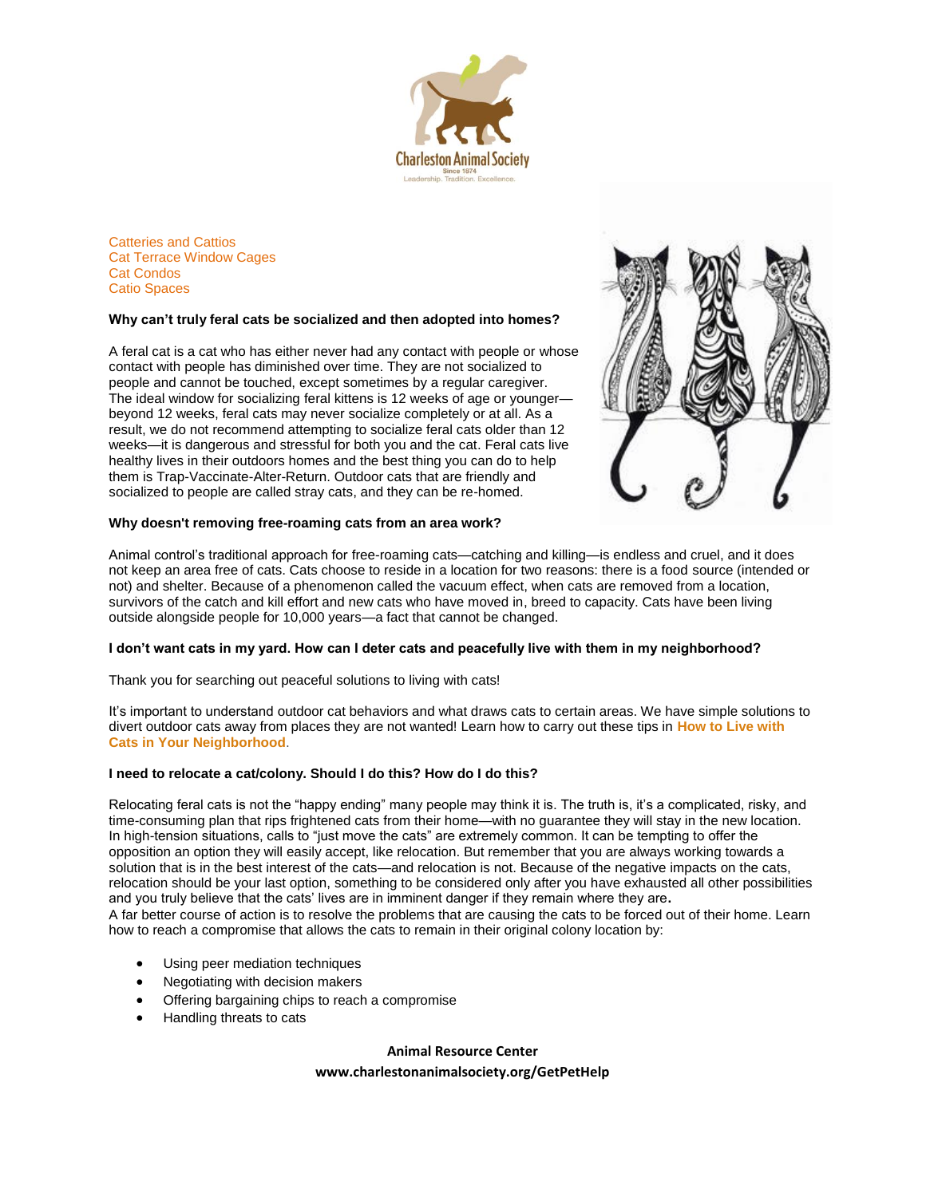

[Catteries and Cattios](http://bestfriends.org/uploadedFiles/Content/Resources/cattery1.pdf) [Cat Terrace Window Cages](http://www.catterrace.com/html/photos.htm) [Cat Condos](http://www.mypetcages.com/group.asp?grp=6) [Catio Spaces](http://www.catiospaces.com/)

#### **Why can't truly feral cats be socialized and then adopted into homes?**

A feral cat is a cat who has either never had any contact with people or whose contact with people has diminished over time. They are not socialized to people and cannot be touched, except sometimes by a regular caregiver. The ideal window for socializing feral kittens is 12 weeks of age or younger beyond 12 weeks, feral cats may never socialize completely or at all. As a result, we do not recommend attempting to socialize feral cats older than 12 weeks—it is dangerous and stressful for both you and the cat. Feral cats live healthy lives in their outdoors homes and the best thing you can do to help them is Trap-Vaccinate-Alter-Return. Outdoor cats that are friendly and socialized to people are called stray cats, and they can be re-homed.



#### **Why doesn't removing free-roaming cats from an area work?**

Animal control's traditional approach for free-roaming cats—catching and killing—is endless and cruel, and it does not keep an area free of cats. Cats choose to reside in a location for two reasons: there is a food source (intended or not) and shelter. Because of a phenomenon called the vacuum effect, when cats are removed from a location, survivors of the catch and kill effort and new cats who have moved in, breed to capacity. Cats have been living outside alongside people for 10,000 years—a fact that cannot be changed.

#### **I don't want cats in my yard. How can I deter cats and peacefully live with them in my neighborhood?**

Thank you for searching out peaceful solutions to living with cats!

It's important to understand outdoor cat behaviors and what draws cats to certain areas. We have simple solutions to divert outdoor cats away from places they are not wanted! Learn how to carry out these tips in **[How to Live with](http://www.alleycat.org/page.aspx?pid=375)  [Cats in Your Neighborhood](http://www.alleycat.org/page.aspx?pid=375)**.

### **I need to relocate a cat/colony. Should I do this? How do I do this?**

Relocating feral cats is not the "happy ending" many people may think it is. The truth is, it's a complicated, risky, and time-consuming plan that rips frightened cats from their home—with no guarantee they will stay in the new location. In high-tension situations, calls to "just move the cats" are extremely common. It can be tempting to offer the opposition an option they will easily accept, like relocation. But remember that you are always working towards a solution that is in the best interest of the cats—and relocation is not. Because of the negative impacts on the cats, relocation should be your last option, something to be considered only after you have exhausted all other possibilities and you truly believe that the cats' lives are in imminent danger if they remain where they are**.**

A far better course of action is to resolve the problems that are causing the cats to be forced out of their home. Learn how to reach a compromise that allows the cats to remain in their original colony location by:

- Using peer mediation techniques
- Negotiating with decision makers
- Offering bargaining chips to reach a compromise
- Handling threats to cats

**Animal Resource Center**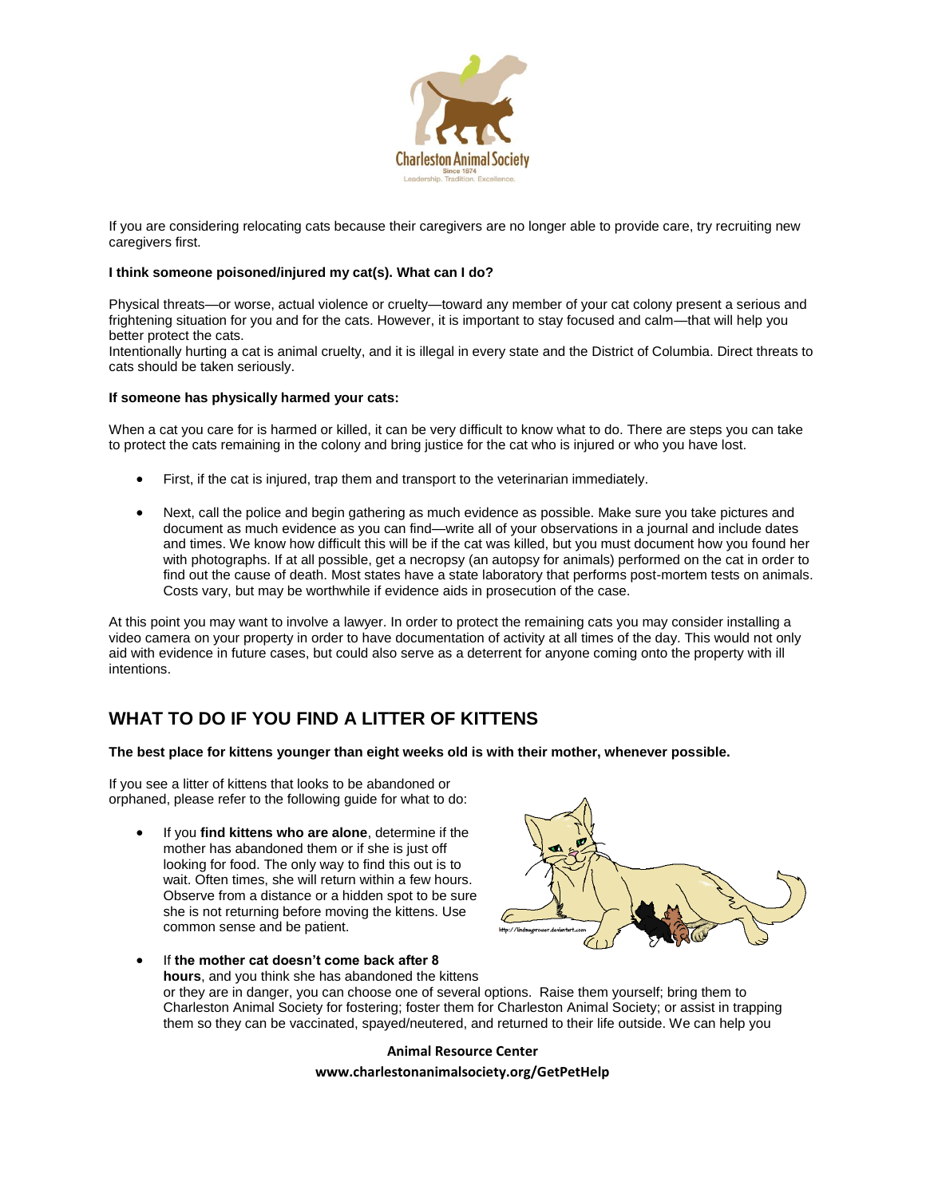

If you are considering relocating cats because their caregivers are no longer able to provide care, try recruiting new caregivers first.

### **I think someone poisoned/injured my cat(s). What can I do?**

Physical threats—or worse, actual violence or cruelty—toward any member of your cat colony present a serious and frightening situation for you and for the cats. However, it is important to stay focused and calm—that will help you better protect the cats.

Intentionally hurting a cat is animal cruelty, and it is illegal in every state and the District of Columbia. Direct threats to cats should be taken seriously.

#### **If someone has physically harmed your cats:**

When a cat you care for is harmed or killed, it can be very difficult to know what to do. There are steps you can take to protect the cats remaining in the colony and bring justice for the cat who is injured or who you have lost.

- First, if the cat is injured, trap them and transport to the veterinarian immediately.
- Next, call the police and begin gathering as much evidence as possible. Make sure you take pictures and document as much evidence as you can find—write all of your observations in a journal and include dates and times. We know how difficult this will be if the cat was killed, but you must document how you found her with photographs. If at all possible, get a necropsy (an autopsy for animals) performed on the cat in order to find out the cause of death. Most states have a state laboratory that performs post-mortem tests on animals. Costs vary, but may be worthwhile if evidence aids in prosecution of the case.

At this point you may want to involve a lawyer. In order to protect the remaining cats you may consider installing a video camera on your property in order to have documentation of activity at all times of the day. This would not only aid with evidence in future cases, but could also serve as a deterrent for anyone coming onto the property with ill intentions.

## **WHAT TO DO IF YOU FIND A LITTER OF KITTENS**

**The best place for kittens younger than eight weeks old is with their mother, whenever possible.**

If you see a litter of kittens that looks to be abandoned or orphaned, please refer to the following guide for what to do:

 If you **find kittens who are alone**, determine if the mother has abandoned them or if she is just off looking for food. The only way to find this out is to wait. Often times, she will return within a few hours. Observe from a distance or a hidden spot to be sure she is not returning before moving the kittens. Use common sense and be patient.



 If **the mother cat doesn't come back after 8 hours**, and you think she has abandoned the kittens or they are in danger, you can choose one of several options. Raise them yourself; bring them to Charleston Animal Society for fostering; foster them for Charleston Animal Society; or assist in trapping them so they can be vaccinated, spayed/neutered, and returned to their life outside. We can help you

**Animal Resource Center**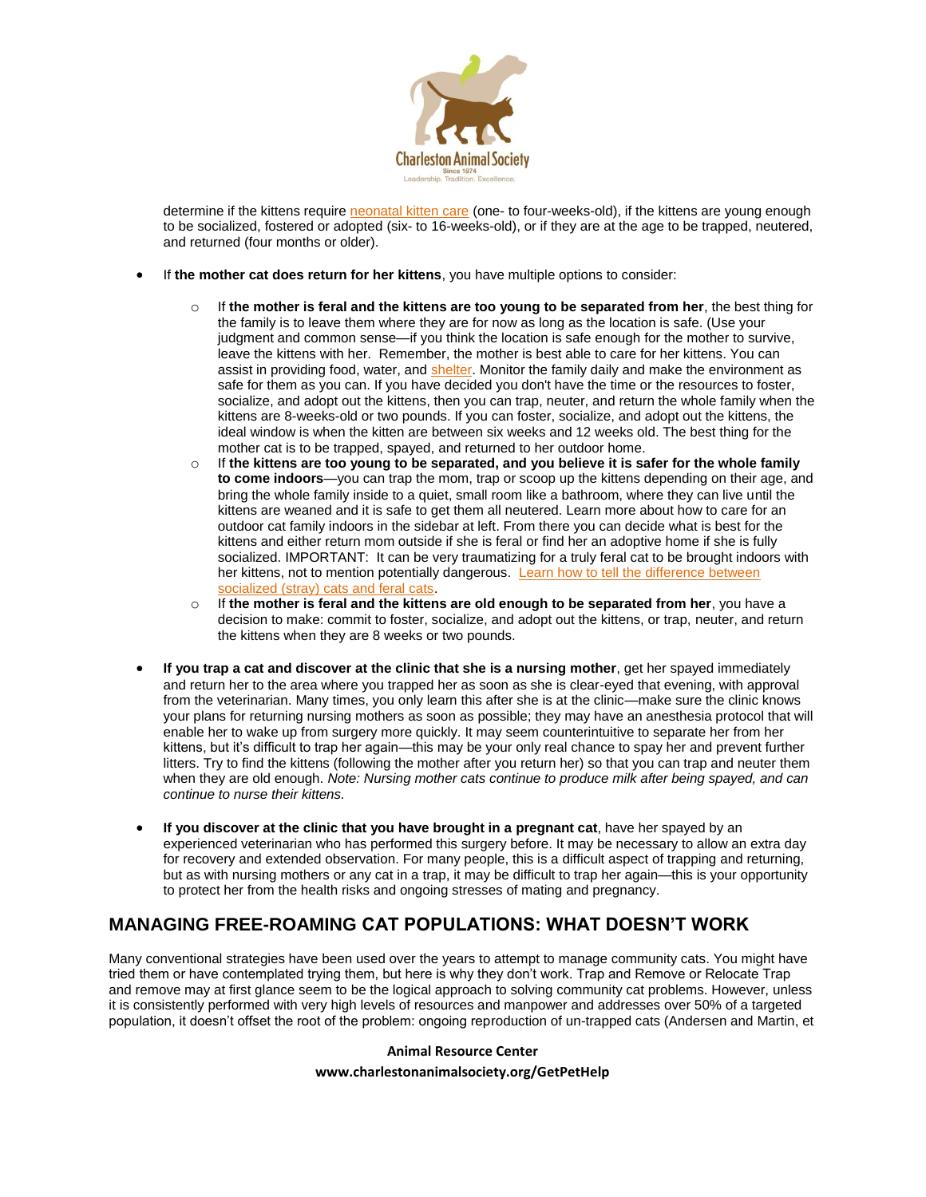

determine if the kittens require [neonatal kitten care](http://www.alleycat.org/page.aspx?pid=291) (one- to four-weeks-old), if the kittens are young enough to be socialized, fostered or adopted (six- to 16-weeks-old), or if they are at the age to be trapped, neutered, and returned (four months or older).

- If **the mother cat does return for her kittens**, you have multiple options to consider:
	- If the mother is feral and the kittens are too young to be separated from her, the best thing for the family is to leave them where they are for now as long as the location is safe. (Use your judgment and common sense—if you think the location is safe enough for the mother to survive, leave the kittens with her. Remember, the mother is best able to care for her kittens. You can assist in providing food, water, and [shelter.](http://www.alleycat.org/ShelterGallery) Monitor the family daily and make the environment as safe for them as you can. If you have decided you don't have the time or the resources to foster, socialize, and adopt out the kittens, then you can trap, neuter, and return the whole family when the kittens are 8-weeks-old or two pounds. If you can foster, socialize, and adopt out the kittens, the ideal window is when the kitten are between six weeks and 12 weeks old. The best thing for the mother cat is to be trapped, spayed, and returned to her outdoor home.
	- o If **the kittens are too young to be separated, and you believe it is safer for the whole family to come indoors**—you can trap the mom, trap or scoop up the kittens depending on their age, and bring the whole family inside to a quiet, small room like a bathroom, where they can live until the kittens are weaned and it is safe to get them all neutered. Learn more about how to care for an outdoor cat family indoors in the sidebar at left. From there you can decide what is best for the kittens and either return mom outside if she is feral or find her an adoptive home if she is fully socialized. IMPORTANT: It can be very traumatizing for a truly feral cat to be brought indoors with her kittens, not to mention potentially dangerous. [Learn how to tell the difference between](http://www.alleycat.org/page.aspx?pid=712)  [socialized \(stray\) cats and feral cats.](http://www.alleycat.org/page.aspx?pid=712)
	- o If **the mother is feral and the kittens are old enough to be separated from her**, you have a decision to make: commit to foster, socialize, and adopt out the kittens, or trap, neuter, and return the kittens when they are 8 weeks or two pounds.
- **If you trap a cat and discover at the clinic that she is a nursing mother**, get her spayed immediately and return her to the area where you trapped her as soon as she is clear-eyed that evening, with approval from the veterinarian. Many times, you only learn this after she is at the clinic—make sure the clinic knows your plans for returning nursing mothers as soon as possible; they may have an anesthesia protocol that will enable her to wake up from surgery more quickly. It may seem counterintuitive to separate her from her kittens, but it's difficult to trap her again—this may be your only real chance to spay her and prevent further litters. Try to find the kittens (following the mother after you return her) so that you can trap and neuter them when they are old enough. *Note: Nursing mother cats continue to produce milk after being spayed, and can continue to nurse their kittens.*
- **If you discover at the clinic that you have brought in a pregnant cat**, have her spayed by an experienced veterinarian who has performed this surgery before. It may be necessary to allow an extra day for recovery and extended observation. For many people, this is a difficult aspect of trapping and returning, but as with nursing mothers or any cat in a trap, it may be difficult to trap her again—this is your opportunity to protect her from the health risks and ongoing stresses of mating and pregnancy.

## **MANAGING FREE-ROAMING CAT POPULATIONS: WHAT DOESN'T WORK**

Many conventional strategies have been used over the years to attempt to manage community cats. You might have tried them or have contemplated trying them, but here is why they don't work. Trap and Remove or Relocate Trap and remove may at first glance seem to be the logical approach to solving community cat problems. However, unless it is consistently performed with very high levels of resources and manpower and addresses over 50% of a targeted population, it doesn't offset the root of the problem: ongoing reproduction of un-trapped cats (Andersen and Martin, et

#### **Animal Resource Center**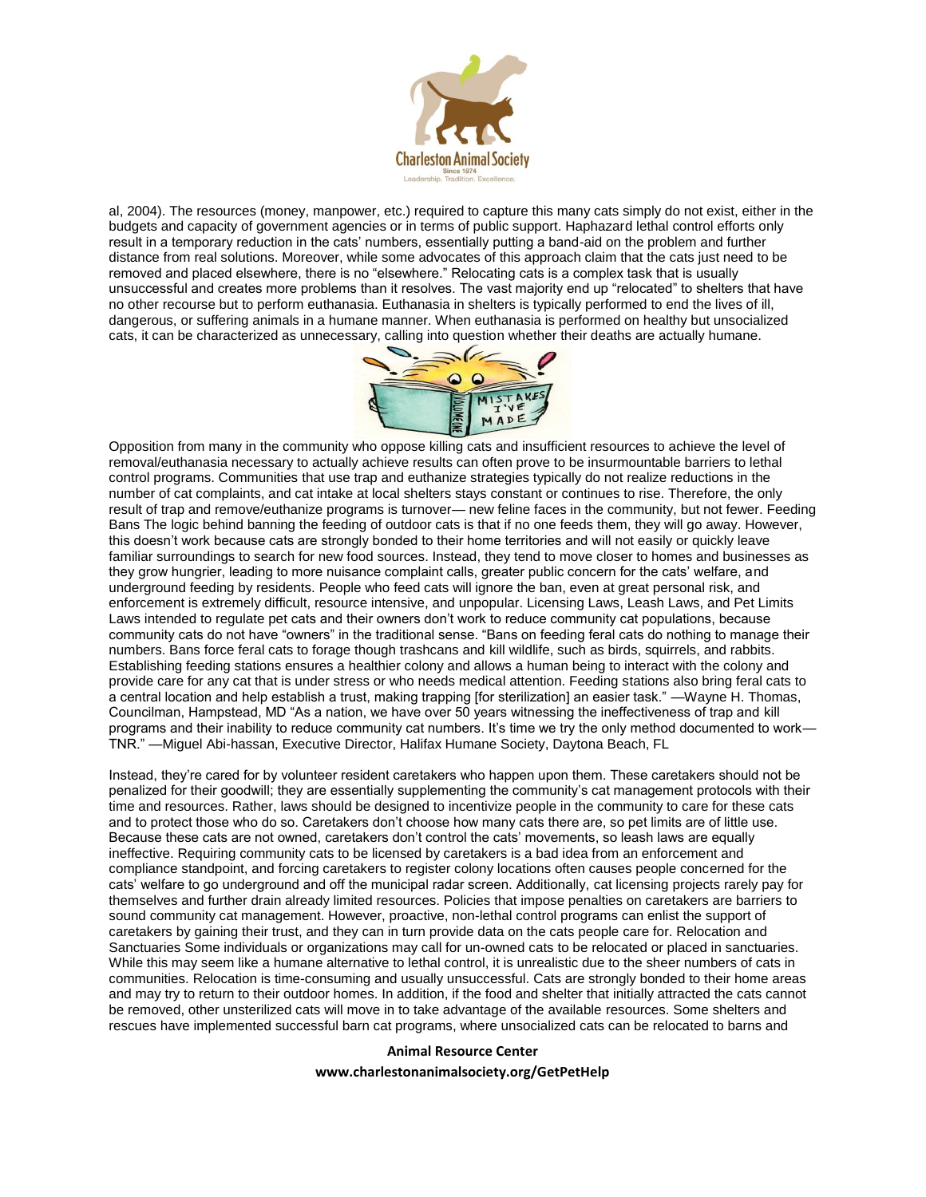

al, 2004). The resources (money, manpower, etc.) required to capture this many cats simply do not exist, either in the budgets and capacity of government agencies or in terms of public support. Haphazard lethal control efforts only result in a temporary reduction in the cats' numbers, essentially putting a band-aid on the problem and further distance from real solutions. Moreover, while some advocates of this approach claim that the cats just need to be removed and placed elsewhere, there is no "elsewhere." Relocating cats is a complex task that is usually unsuccessful and creates more problems than it resolves. The vast majority end up "relocated" to shelters that have no other recourse but to perform euthanasia. Euthanasia in shelters is typically performed to end the lives of ill, dangerous, or suffering animals in a humane manner. When euthanasia is performed on healthy but unsocialized cats, it can be characterized as unnecessary, calling into question whether their deaths are actually humane.



Opposition from many in the community who oppose killing cats and insufficient resources to achieve the level of removal/euthanasia necessary to actually achieve results can often prove to be insurmountable barriers to lethal control programs. Communities that use trap and euthanize strategies typically do not realize reductions in the number of cat complaints, and cat intake at local shelters stays constant or continues to rise. Therefore, the only result of trap and remove/euthanize programs is turnover— new feline faces in the community, but not fewer. Feeding Bans The logic behind banning the feeding of outdoor cats is that if no one feeds them, they will go away. However, this doesn't work because cats are strongly bonded to their home territories and will not easily or quickly leave familiar surroundings to search for new food sources. Instead, they tend to move closer to homes and businesses as they grow hungrier, leading to more nuisance complaint calls, greater public concern for the cats' welfare, and underground feeding by residents. People who feed cats will ignore the ban, even at great personal risk, and enforcement is extremely difficult, resource intensive, and unpopular. Licensing Laws, Leash Laws, and Pet Limits Laws intended to regulate pet cats and their owners don't work to reduce community cat populations, because community cats do not have "owners" in the traditional sense. "Bans on feeding feral cats do nothing to manage their numbers. Bans force feral cats to forage though trashcans and kill wildlife, such as birds, squirrels, and rabbits. Establishing feeding stations ensures a healthier colony and allows a human being to interact with the colony and provide care for any cat that is under stress or who needs medical attention. Feeding stations also bring feral cats to a central location and help establish a trust, making trapping [for sterilization] an easier task." —Wayne H. Thomas, Councilman, Hampstead, MD "As a nation, we have over 50 years witnessing the ineffectiveness of trap and kill programs and their inability to reduce community cat numbers. It's time we try the only method documented to work— TNR." —Miguel Abi-hassan, Executive Director, Halifax Humane Society, Daytona Beach, FL

Instead, they're cared for by volunteer resident caretakers who happen upon them. These caretakers should not be penalized for their goodwill; they are essentially supplementing the community's cat management protocols with their time and resources. Rather, laws should be designed to incentivize people in the community to care for these cats and to protect those who do so. Caretakers don't choose how many cats there are, so pet limits are of little use. Because these cats are not owned, caretakers don't control the cats' movements, so leash laws are equally ineffective. Requiring community cats to be licensed by caretakers is a bad idea from an enforcement and compliance standpoint, and forcing caretakers to register colony locations often causes people concerned for the cats' welfare to go underground and off the municipal radar screen. Additionally, cat licensing projects rarely pay for themselves and further drain already limited resources. Policies that impose penalties on caretakers are barriers to sound community cat management. However, proactive, non-lethal control programs can enlist the support of caretakers by gaining their trust, and they can in turn provide data on the cats people care for. Relocation and Sanctuaries Some individuals or organizations may call for un-owned cats to be relocated or placed in sanctuaries. While this may seem like a humane alternative to lethal control, it is unrealistic due to the sheer numbers of cats in communities. Relocation is time-consuming and usually unsuccessful. Cats are strongly bonded to their home areas and may try to return to their outdoor homes. In addition, if the food and shelter that initially attracted the cats cannot be removed, other unsterilized cats will move in to take advantage of the available resources. Some shelters and rescues have implemented successful barn cat programs, where unsocialized cats can be relocated to barns and

#### **Animal Resource Center**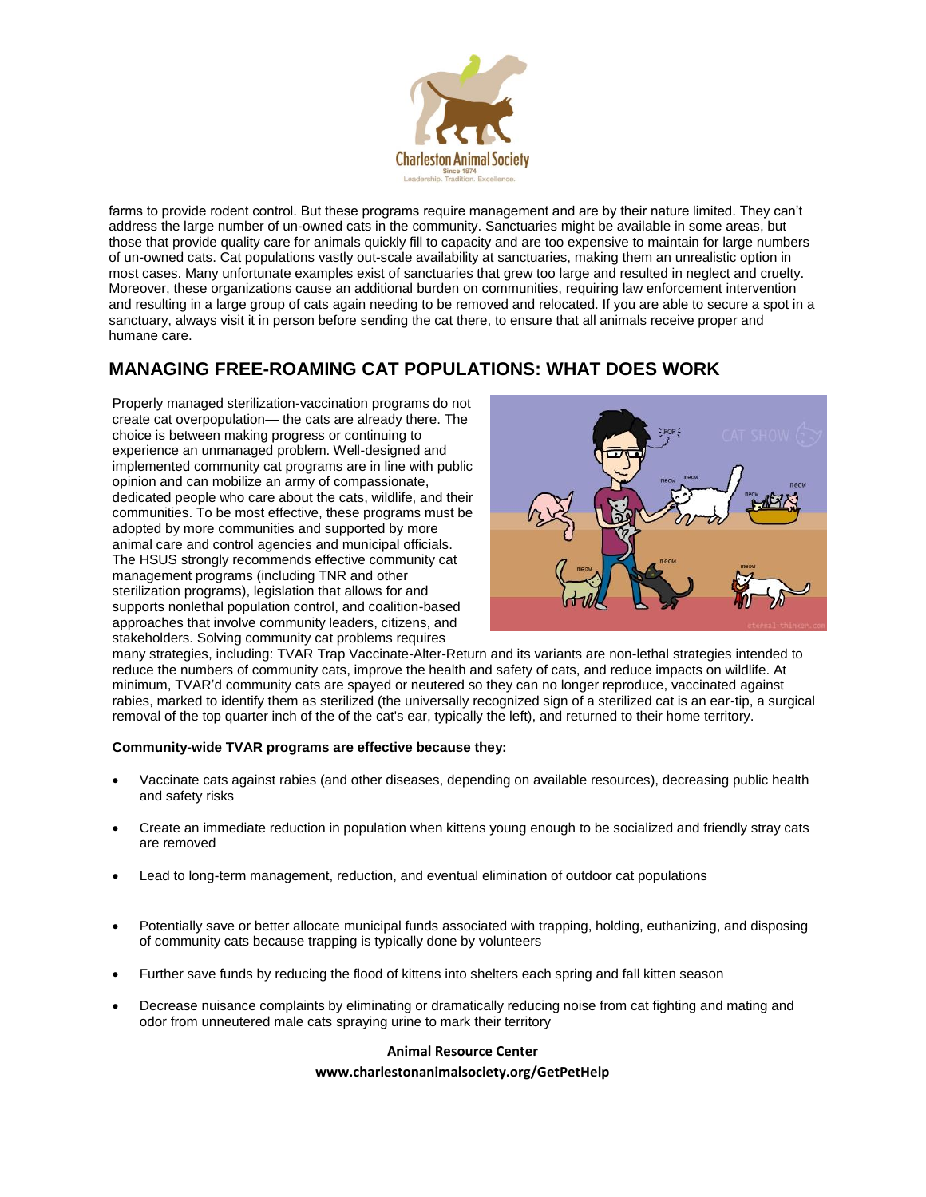

farms to provide rodent control. But these programs require management and are by their nature limited. They can't address the large number of un-owned cats in the community. Sanctuaries might be available in some areas, but those that provide quality care for animals quickly fill to capacity and are too expensive to maintain for large numbers of un-owned cats. Cat populations vastly out-scale availability at sanctuaries, making them an unrealistic option in most cases. Many unfortunate examples exist of sanctuaries that grew too large and resulted in neglect and cruelty. Moreover, these organizations cause an additional burden on communities, requiring law enforcement intervention and resulting in a large group of cats again needing to be removed and relocated. If you are able to secure a spot in a sanctuary, always visit it in person before sending the cat there, to ensure that all animals receive proper and humane care.

# **MANAGING FREE-ROAMING CAT POPULATIONS: WHAT DOES WORK**

Properly managed sterilization-vaccination programs do not create cat overpopulation— the cats are already there. The choice is between making progress or continuing to experience an unmanaged problem. Well-designed and implemented community cat programs are in line with public opinion and can mobilize an army of compassionate, dedicated people who care about the cats, wildlife, and their communities. To be most effective, these programs must be adopted by more communities and supported by more animal care and control agencies and municipal officials. The HSUS strongly recommends effective community cat management programs (including TNR and other sterilization programs), legislation that allows for and supports nonlethal population control, and coalition-based approaches that involve community leaders, citizens, and stakeholders. Solving community cat problems requires



many strategies, including: TVAR Trap Vaccinate-Alter-Return and its variants are non-lethal strategies intended to reduce the numbers of community cats, improve the health and safety of cats, and reduce impacts on wildlife. At minimum, TVAR'd community cats are spayed or neutered so they can no longer reproduce, vaccinated against rabies, marked to identify them as sterilized (the universally recognized sign of a sterilized cat is an ear-tip, a surgical removal of the top quarter inch of the of the cat's ear, typically the left), and returned to their home territory.

## **Community-wide TVAR programs are effective because they:**

- Vaccinate cats against rabies (and other diseases, depending on available resources), decreasing public health and safety risks
- Create an immediate reduction in population when kittens young enough to be socialized and friendly stray cats are removed
- Lead to long-term management, reduction, and eventual elimination of outdoor cat populations
- Potentially save or better allocate municipal funds associated with trapping, holding, euthanizing, and disposing of community cats because trapping is typically done by volunteers
- Further save funds by reducing the flood of kittens into shelters each spring and fall kitten season
- Decrease nuisance complaints by eliminating or dramatically reducing noise from cat fighting and mating and odor from unneutered male cats spraying urine to mark their territory

## **Animal Resource Center**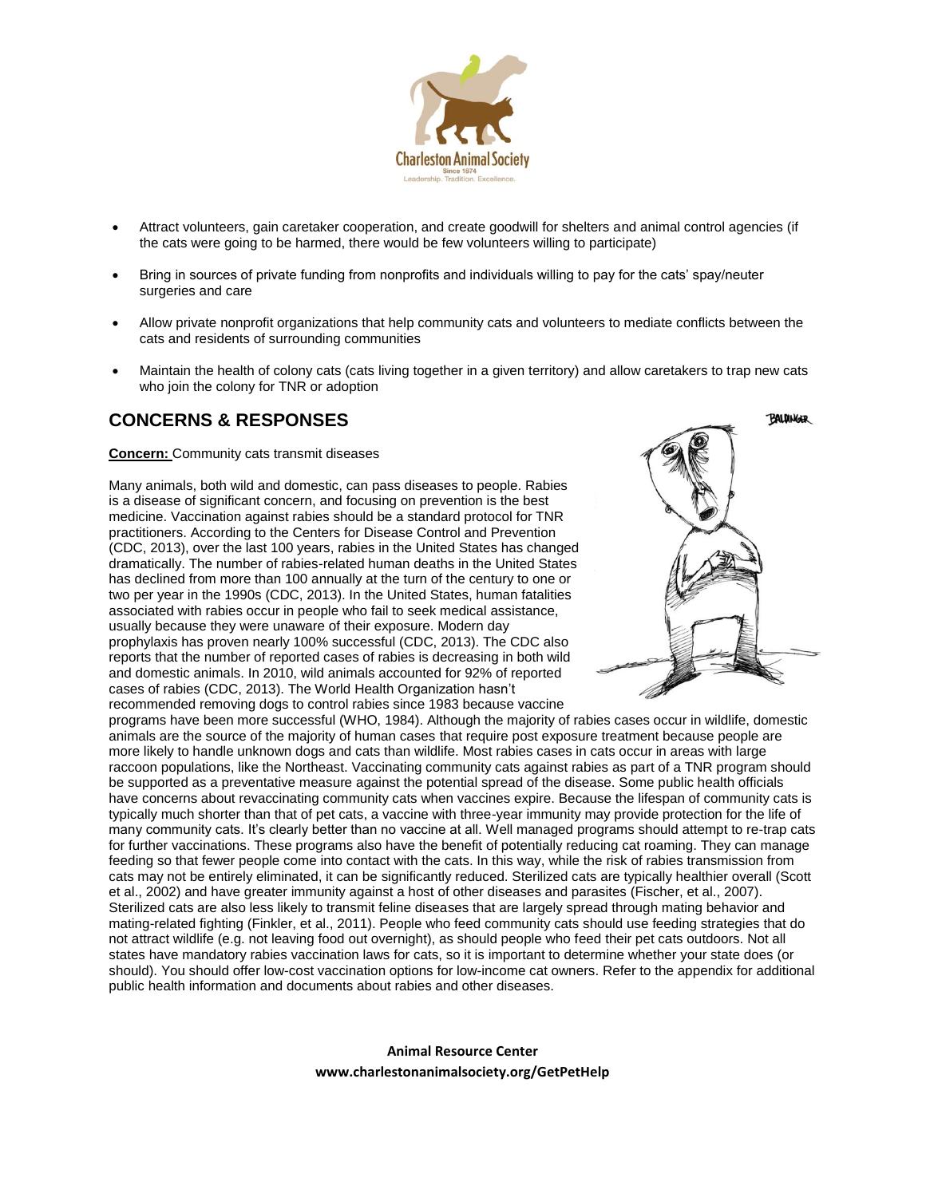

- Attract volunteers, gain caretaker cooperation, and create goodwill for shelters and animal control agencies (if the cats were going to be harmed, there would be few volunteers willing to participate)
- Bring in sources of private funding from nonprofits and individuals willing to pay for the cats' spay/neuter surgeries and care
- Allow private nonprofit organizations that help community cats and volunteers to mediate conflicts between the cats and residents of surrounding communities
- Maintain the health of colony cats (cats living together in a given territory) and allow caretakers to trap new cats who join the colony for TNR or adoption

## **CONCERNS & RESPONSES**

**Concern:** Community cats transmit diseases

Many animals, both wild and domestic, can pass diseases to people. Rabies is a disease of significant concern, and focusing on prevention is the best medicine. Vaccination against rabies should be a standard protocol for TNR practitioners. According to the Centers for Disease Control and Prevention (CDC, 2013), over the last 100 years, rabies in the United States has changed dramatically. The number of rabies-related human deaths in the United States has declined from more than 100 annually at the turn of the century to one or two per year in the 1990s (CDC, 2013). In the United States, human fatalities associated with rabies occur in people who fail to seek medical assistance, usually because they were unaware of their exposure. Modern day prophylaxis has proven nearly 100% successful (CDC, 2013). The CDC also reports that the number of reported cases of rabies is decreasing in both wild and domestic animals. In 2010, wild animals accounted for 92% of reported cases of rabies (CDC, 2013). The World Health Organization hasn't recommended removing dogs to control rabies since 1983 because vaccine



programs have been more successful (WHO, 1984). Although the majority of rabies cases occur in wildlife, domestic animals are the source of the majority of human cases that require post exposure treatment because people are more likely to handle unknown dogs and cats than wildlife. Most rabies cases in cats occur in areas with large raccoon populations, like the Northeast. Vaccinating community cats against rabies as part of a TNR program should be supported as a preventative measure against the potential spread of the disease. Some public health officials have concerns about revaccinating community cats when vaccines expire. Because the lifespan of community cats is typically much shorter than that of pet cats, a vaccine with three-year immunity may provide protection for the life of many community cats. It's clearly better than no vaccine at all. Well managed programs should attempt to re-trap cats for further vaccinations. These programs also have the benefit of potentially reducing cat roaming. They can manage feeding so that fewer people come into contact with the cats. In this way, while the risk of rabies transmission from cats may not be entirely eliminated, it can be significantly reduced. Sterilized cats are typically healthier overall (Scott et al., 2002) and have greater immunity against a host of other diseases and parasites (Fischer, et al., 2007). Sterilized cats are also less likely to transmit feline diseases that are largely spread through mating behavior and mating-related fighting (Finkler, et al., 2011). People who feed community cats should use feeding strategies that do not attract wildlife (e.g. not leaving food out overnight), as should people who feed their pet cats outdoors. Not all states have mandatory rabies vaccination laws for cats, so it is important to determine whether your state does (or should). You should offer low-cost vaccination options for low-income cat owners. Refer to the appendix for additional public health information and documents about rabies and other diseases.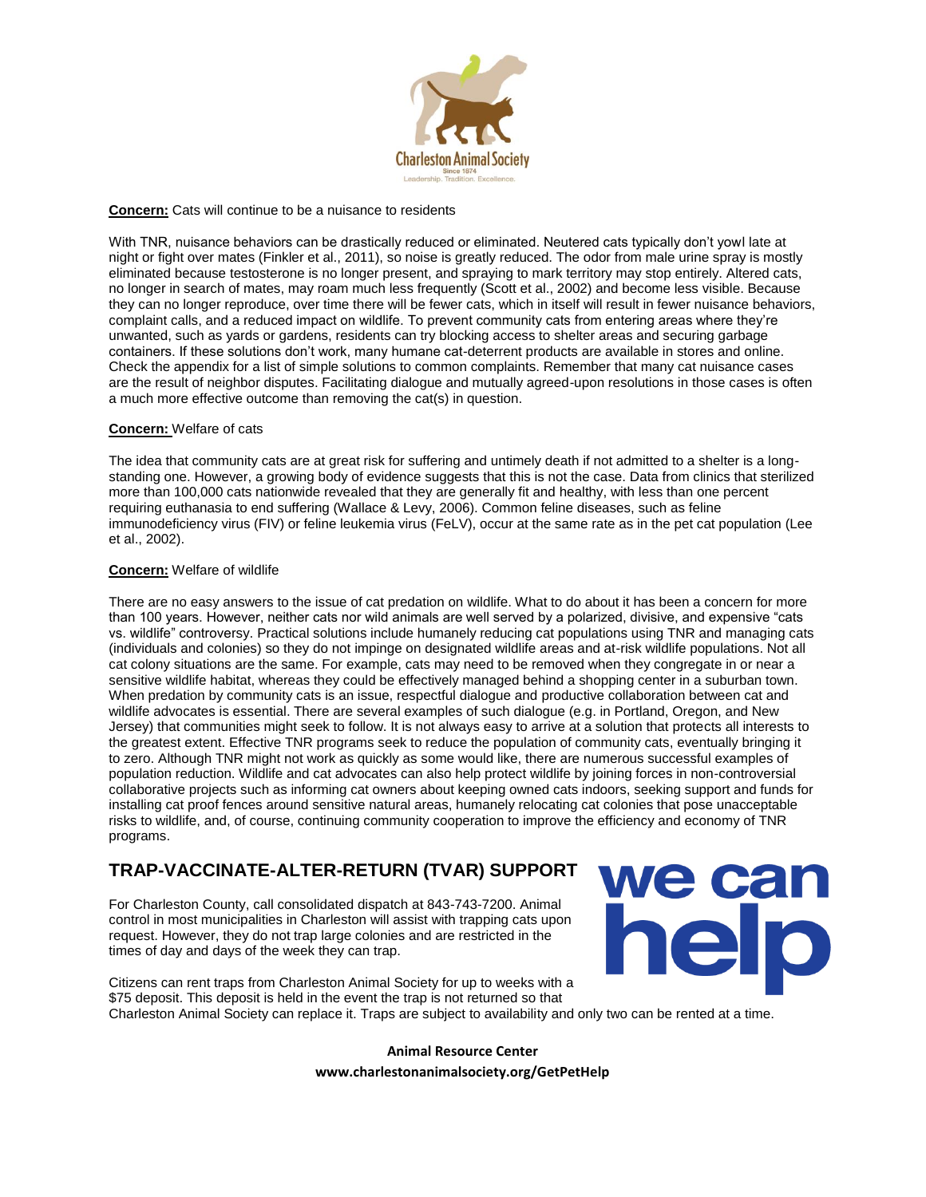

### **Concern:** Cats will continue to be a nuisance to residents

With TNR, nuisance behaviors can be drastically reduced or eliminated. Neutered cats typically don't yowl late at night or fight over mates (Finkler et al., 2011), so noise is greatly reduced. The odor from male urine spray is mostly eliminated because testosterone is no longer present, and spraying to mark territory may stop entirely. Altered cats, no longer in search of mates, may roam much less frequently (Scott et al., 2002) and become less visible. Because they can no longer reproduce, over time there will be fewer cats, which in itself will result in fewer nuisance behaviors, complaint calls, and a reduced impact on wildlife. To prevent community cats from entering areas where they're unwanted, such as yards or gardens, residents can try blocking access to shelter areas and securing garbage containers. If these solutions don't work, many humane cat-deterrent products are available in stores and online. Check the appendix for a list of simple solutions to common complaints. Remember that many cat nuisance cases are the result of neighbor disputes. Facilitating dialogue and mutually agreed-upon resolutions in those cases is often a much more effective outcome than removing the cat(s) in question.

#### **Concern:** Welfare of cats

The idea that community cats are at great risk for suffering and untimely death if not admitted to a shelter is a longstanding one. However, a growing body of evidence suggests that this is not the case. Data from clinics that sterilized more than 100,000 cats nationwide revealed that they are generally fit and healthy, with less than one percent requiring euthanasia to end suffering (Wallace & Levy, 2006). Common feline diseases, such as feline immunodeficiency virus (FIV) or feline leukemia virus (FeLV), occur at the same rate as in the pet cat population (Lee et al., 2002).

#### **Concern:** Welfare of wildlife

There are no easy answers to the issue of cat predation on wildlife. What to do about it has been a concern for more than 100 years. However, neither cats nor wild animals are well served by a polarized, divisive, and expensive "cats vs. wildlife" controversy. Practical solutions include humanely reducing cat populations using TNR and managing cats (individuals and colonies) so they do not impinge on designated wildlife areas and at-risk wildlife populations. Not all cat colony situations are the same. For example, cats may need to be removed when they congregate in or near a sensitive wildlife habitat, whereas they could be effectively managed behind a shopping center in a suburban town. When predation by community cats is an issue, respectful dialogue and productive collaboration between cat and wildlife advocates is essential. There are several examples of such dialogue (e.g. in Portland, Oregon, and New Jersey) that communities might seek to follow. It is not always easy to arrive at a solution that protects all interests to the greatest extent. Effective TNR programs seek to reduce the population of community cats, eventually bringing it to zero. Although TNR might not work as quickly as some would like, there are numerous successful examples of population reduction. Wildlife and cat advocates can also help protect wildlife by joining forces in non-controversial collaborative projects such as informing cat owners about keeping owned cats indoors, seeking support and funds for installing cat proof fences around sensitive natural areas, humanely relocating cat colonies that pose unacceptable risks to wildlife, and, of course, continuing community cooperation to improve the efficiency and economy of TNR programs.

## **TRAP-VACCINATE-ALTER-RETURN (TVAR) SUPPORT**

For Charleston County, call consolidated dispatch at 843-743-7200. Animal control in most municipalities in Charleston will assist with trapping cats upon request. However, they do not trap large colonies and are restricted in the times of day and days of the week they can trap.



Citizens can rent traps from Charleston Animal Society for up to weeks with a \$75 deposit. This deposit is held in the event the trap is not returned so that Charleston Animal Society can replace it. Traps are subject to availability and only two can be rented at a time.